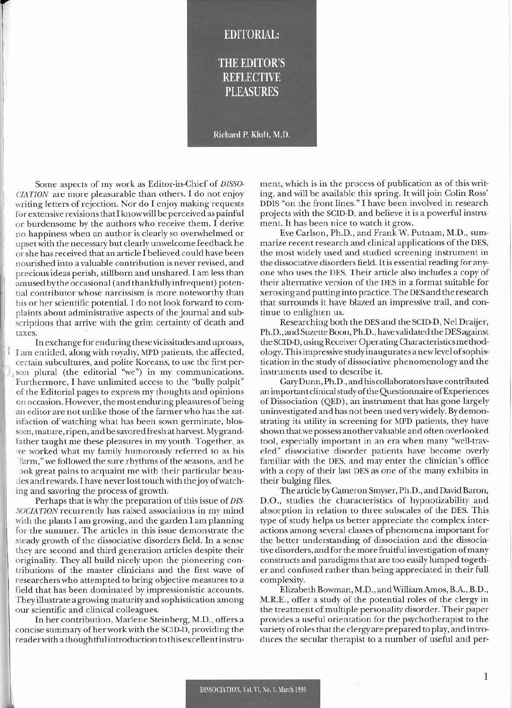## **THE EDITOR'S REFLECTIVE PLEASURES**

**EDITORIAL:** 

## Richard P. Kluft, M.D.

Some aspects of my work as Editor-in-Chief of *DISSO*-*CIATION* are more pleasurable than otbers. I do not enjoy writing letters of rejection. Nor do I enjoy making requests for extensive revisions that I know will be perceived as painful or burdcnsome by the authors who receive them. I derive no bappiness when an author is clearly so ovcnvhelmed or upsct with the necessary but clearly unwelcome feedback he or she has received that an article I believed could have been nourished into a valuable contribution is never revised, and precious ideas perish. stillborn and unshared. I am less than amused by the occasional (and thankfully infrequent) potential contributor whose narcissism is more notewortby than his or her scientific potential. I do not look forward to complaints about administrative aspects of the journal and subscriptions that arrive with the grim certainty of death and taxes.

In exchange for enduring these vicissiludcsand uproars. I am entitled, along with royalty. MPD patients, the affected, certain subcultures, and polite Koreans, to use the first person plural (the editorial "we") in my communications. Furthermore, I have unlimited access to the "bully pulpit" of the Editorial pages to express my thoughts and opinions on occasion. Howevcr, the most enduring pleasures of being an editor are not unlike those of the farmer who has the satisfaction of watching what has been sown germinate, blossom, mature, ripen, and be savored fresh at harvest. Mygrandfather taught me these pleasures in my youth. Together, as ve worked what my family humorously referred to as his farm," we followed the sure rhythms of the seasons, and he )ok great pains to acquaint me with their particular beau ties and rewards. I have never lost touch with the joy of watching and savoring the process of growth.

Perhaps that is why the preparation of this issue of *DIS-SOCIATION* recurrently has raised associations in my mind with the plants I am growing, and the garden I am planning for the summer. The articles in this issue demonstrate the steady growth of the dissociative disorders field. In a sense they are second and third generation articles despite their originality. They all build nicely upon the pioneering contributions of the master clinicians and the first wave of researchers who attempted to bring objective measures to a field that has been dominated by impressionistic accounts. They illustrate a growing maturity and sophistication among our scientific and clinical colleagues.

In her contribution, Marlene Steinberg, M.D., offers a concise summary of her work with the SCID-D, providing the reader with a thoughtful introduction to this excellent instru-

ment, which is in the process of publication as of this writing, and will be available this spring. It will join Colin Ross' DDIS "on the front lines." I have been involved in research projects with the SCID-D, and believe it is a powerful instrument. It has been nice to watch it grow.

Eve Carlson, Ph.D., and Frank W. Putnam, M.D., summarize recent research and clinical applications of the DES, (he most widely used and studicd screening instrument in the dissociative disorders field. It is essential reading for anyone who uses the DES. Their article also includes a copy of thcir alternative version of the DES in a format suitable for xeroxing and putting into practice. The DES and the research that surrounds it have blazed an impressive trail, and continue to enlighten us.

Researching both the DES and the SCID.D, Nel Draijer, Ph.D., and Suzette Boon, Ph.D., have validated the DES against the SCID-D, using Receiver Operating Characteristics methodology. This impressive study inauguratesa new level of sophistication in the study of dissociative phenomenology and the instruments used to describe it.

Gary Dunn, Ph.D., and his collaborators have contributed an important clinical study of the Questionnaire of Experiences of Dissociation (QED), an instrument that has gone largely uninvestigated and has not been used *very* widely. By demonstrating its utility in screening for MPD patients. they have shown that we possess anothervaluable and often overlooked tool, especially important in an era when many "well-traveled" dissociative disorder patients have become overly familiar with the DES, and may enter the clinician's office with a copy of their last DES as one of the many exhibits in their bulging files.

The article byCameron Smyser, Ph.D .. and David Baron, D.O., studies the characteristics of hypnotizability and absorption in relation to three subscales of the DES. This type of study helps us better appreciate the complex interactions among several classes of phenomena important for the better understanding of dissociation and the dissociative disorders, and forthe more fruitful investigation of many constructs and paradigms that are too easily lumped together and confused rather than being appreciated in their full complexity.

Elizabeth Bowman, M.D. , and William Amos, B.A.. B.D., M.RE., offer a study of the potential roles of the clergy in the treatment of multiple personality disorder. Their paper provides a useful orientation for the psychotherapist to the variety of roles that the clergy are prepared to play, and introduces the secular therapist to a number of useful and per-